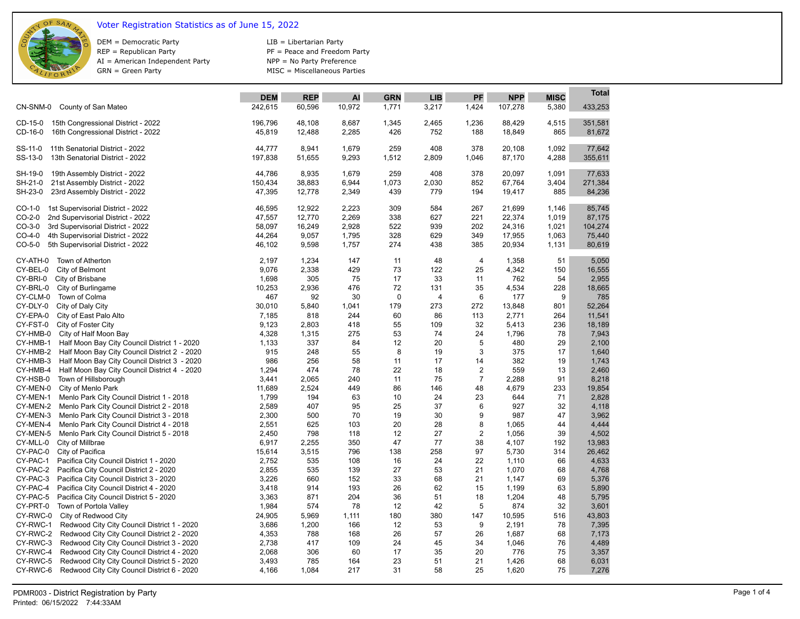

## Voter Registration Statistics as of June 15, 2022

DEM = Democratic Party REP = Republican Party AI = American Independent Party GRN = Green Party

LIB = Libertarian Party PF = Peace and Freedom Party NPP = No Party Preference MISC = Miscellaneous Parties

|                                                                   |                |              |            |             |            |                                  |                |             | Total          |
|-------------------------------------------------------------------|----------------|--------------|------------|-------------|------------|----------------------------------|----------------|-------------|----------------|
|                                                                   | <b>DEM</b>     | <b>REP</b>   | AI         | <b>GRN</b>  | <b>LIB</b> | PF                               | <b>NPP</b>     | <b>MISC</b> |                |
| CN-SNM-0<br>County of San Mateo                                   | 242,615        | 60,596       | 10,972     | 1,771       | 3,217      | 1,424                            | 107,278        | 5,380       | 433,253        |
| 15th Congressional District - 2022<br>CD-15-0                     | 196,796        | 48,108       | 8,687      | 1,345       | 2,465      | 1,236                            | 88,429         | 4,515       | 351,581        |
| CD-16-0<br>16th Congressional District - 2022                     | 45,819         | 12,488       | 2,285      | 426         | 752        | 188                              | 18,849         | 865         | 81,672         |
| SS-11-0<br>11th Senatorial District - 2022                        | 44,777         | 8,941        | 1,679      | 259         | 408        | 378                              | 20,108         | 1,092       | 77,642         |
| SS-13-0<br>13th Senatorial District - 2022                        | 197,838        | 51,655       | 9,293      | 1,512       | 2,809      | 1,046                            | 87,170         | 4,288       | 355,611        |
| SH-19-0<br>19th Assembly District - 2022                          | 44,786         | 8,935        | 1,679      | 259         | 408        | 378                              | 20,097         | 1,091       | 77,633         |
| SH-21-0<br>21st Assembly District - 2022                          | 150,434        | 38,883       | 6,944      | 1,073       | 2,030      | 852                              | 67,764         | 3,404       | 271,384        |
| SH-23-0<br>23rd Assembly District - 2022                          | 47,395         | 12,778       | 2,349      | 439         | 779        | 194                              | 19,417         | 885         | 84,236         |
| $CO-1-0$<br>1st Supervisorial District - 2022                     | 46,595         | 12,922       | 2,223      | 309         | 584        | 267                              | 21,699         | 1,146       | 85,745         |
| $CO-2-0$<br>2nd Supervisorial District - 2022                     | 47,557         | 12,770       | 2,269      | 338         | 627        | 221                              | 22,374         | 1,019       | 87,175         |
| $CO-3-0$<br>3rd Supervisorial District - 2022                     | 58,097         | 16,249       | 2,928      | 522         | 939        | 202                              | 24,316         | 1,021       | 104,274        |
| $CO-4-0$<br>4th Supervisorial District - 2022                     | 44,264         | 9,057        | 1,795      | 328         | 629        | 349                              | 17,955         | 1,063       | 75,440         |
| $CO-5-0$<br>5th Supervisorial District - 2022                     | 46,102         | 9,598        | 1,757      | 274         | 438        | 385                              | 20,934         | 1,131       | 80,619         |
| CY-ATH-0<br>Town of Atherton                                      | 2,197          | 1,234        | 147        | 11          | 48         | 4                                | 1,358          | 51          | 5,050          |
| CY-BEL-0<br>City of Belmont                                       | 9,076          | 2,338        | 429        | 73          | 122        | 25                               | 4,342          | 150         | 16,555         |
| CY-BRI-0<br>City of Brisbane                                      | 1,698          | 305          | 75         | 17          | 33         | 11                               | 762            | 54          | 2,955          |
| CY-BRL-0<br>City of Burlingame                                    | 10,253         | 2,936        | 476        | 72          | 131        | 35                               | 4,534          | 228         | 18,665         |
| CY-CLM-0                                                          | 467            | 92           | 30         | $\mathbf 0$ | 4          | 6                                |                | 9           | 785            |
| Town of Colma<br>CY-DLY-0                                         | 30.010         |              |            | 179         | 273        | 272                              | 177            | 801         | 52.264         |
| City of Daly City                                                 |                | 5,840        | 1,041      | 60          |            |                                  | 13,848         | 264         |                |
| CY-EPA-0<br>City of East Palo Alto                                | 7,185          | 818          | 244        |             | 86<br>109  | 113                              | 2,771          | 236         | 11,541         |
| CY-FST-0<br>City of Foster City                                   | 9,123          | 2,803        | 418        | 55<br>53    |            | 32                               | 5,413          |             | 18,189         |
| CY-HMB-0<br>City of Half Moon Bay<br>CY-HMB-1                     | 4,328<br>1,133 | 1,315<br>337 | 275<br>84  | 12          | 74<br>20   | 24<br>5                          | 1,796<br>480   | 78<br>29    | 7,943<br>2,100 |
| Half Moon Bay City Council District 1 - 2020                      |                | 248          |            | 8           | 19         | 3                                | 375            |             | 1,640          |
| CY-HMB-2<br>Half Moon Bay City Council District 2 - 2020          | 915<br>986     | 256          | 55<br>58   | 11          | 17         |                                  | 382            | 17<br>19    |                |
| CY-HMB-3<br>Half Moon Bay City Council District 3 - 2020          |                |              |            |             |            | 14                               |                |             | 1,743          |
| CY-HMB-4<br>Half Moon Bay City Council District 4 - 2020          | 1,294          | 474          | 78         | 22<br>11    | 18<br>75   | $\overline{2}$<br>$\overline{7}$ | 559            | 13<br>91    | 2,460          |
| CY-HSB-0<br>Town of Hillsborough                                  | 3,441          | 2,065        | 240        |             |            |                                  | 2.288          |             | 8,218          |
| CY-MEN-0<br>City of Menlo Park                                    | 11,689         | 2,524        | 449        | 86          | 146        | 48                               | 4,679          | 233         | 19,854         |
| CY-MEN-1<br>Menlo Park City Council District 1 - 2018             | 1,799          | 194          | 63         | 10          | 24         | 23                               | 644            | 71          | 2,828          |
| CY-MEN-2<br>Menlo Park City Council District 2 - 2018             | 2,589          | 407<br>500   | 95<br>70   | 25          | 37<br>30   | 6<br>9                           | 927<br>987     | 32<br>47    | 4,118          |
| CY-MEN-3<br>Menlo Park City Council District 3 - 2018             | 2,300          |              |            | 19          |            |                                  |                |             | 3,962          |
| CY-MEN-4<br>Menlo Park City Council District 4 - 2018<br>CY-MEN-5 | 2,551          | 625<br>798   | 103        | 20<br>12    | 28<br>27   | 8<br>$\overline{\mathbf{c}}$     | 1,065          | 44<br>39    | 4,444<br>4,502 |
| Menlo Park City Council District 5 - 2018                         | 2,450          |              | 118        | 47          |            |                                  | 1,056          |             | 13,983         |
| CY-MLL-0<br>City of Millbrae                                      | 6,917          | 2,255        | 350        |             | 77<br>258  | 38                               | 4,107          | 192         |                |
| CY-PAC-0<br>City of Pacifica                                      | 15,614         | 3,515        | 796        | 138         |            | 97                               | 5,730          | 314         | 26,462         |
| CY-PAC-1<br>Pacifica City Council District 1 - 2020               | 2,752          | 535          | 108        | 16<br>27    | 24         | 22                               | 1,110          | 66          | 4,633          |
| CY-PAC-2<br>Pacifica City Council District 2 - 2020<br>CY-PAC-3   | 2,855<br>3,226 | 535<br>660   | 139<br>152 | 33          | 53<br>68   | 21<br>21                         | 1,070          | 68<br>69    | 4,768          |
| Pacifica City Council District 3 - 2020<br>CY-PAC-4               |                | 914          | 193        | 26          | 62         |                                  | 1,147<br>1,199 | 63          | 5,376          |
| Pacifica City Council District 4 - 2020<br>CY-PAC-5               | 3,418          |              |            | 36          | 51         | 15<br>18                         |                |             | 5,890          |
| Pacifica City Council District 5 - 2020<br>CY-PRT-0               | 3,363          | 871<br>574   | 204<br>78  | 12          | 42         | 5                                | 1,204<br>874   | 48<br>32    | 5,795<br>3,601 |
| Town of Portola Valley<br>CY-RWC-0                                | 1,984          |              |            |             |            |                                  |                |             |                |
| City of Redwood City                                              | 24,905         | 5,969        | 1,111      | 180         | 380        | 147                              | 10,595         | 516         | 43,803         |
| CY-RWC-1<br>Redwood City City Council District 1 - 2020           | 3,686          | 1,200        | 166        | 12          | 53         | 9                                | 2,191          | 78          | 7,395          |
| CY-RWC-2<br>Redwood City City Council District 2 - 2020           | 4,353          | 788          | 168        | 26          | 57         | 26                               | 1,687          | 68          | 7,173          |
| CY-RWC-3<br>Redwood City City Council District 3 - 2020           | 2,738          | 417          | 109        | 24          | 45         | 34                               | 1,046          | 76          | 4,489          |
| CY-RWC-4<br>Redwood City City Council District 4 - 2020           | 2,068          | 306          | 60         | 17<br>23    | 35<br>51   | 20                               | 776            | 75<br>68    | 3,357          |
| CY-RWC-5<br>Redwood City City Council District 5 - 2020           | 3,493          | 785          | 164        | 31          | 58         | 21                               | 1,426          |             | 6,031          |
| CY-RWC-6<br>Redwood City City Council District 6 - 2020           | 4,166          | 1,084        | 217        |             |            | 25                               | 1,620          | 75          | 7,276          |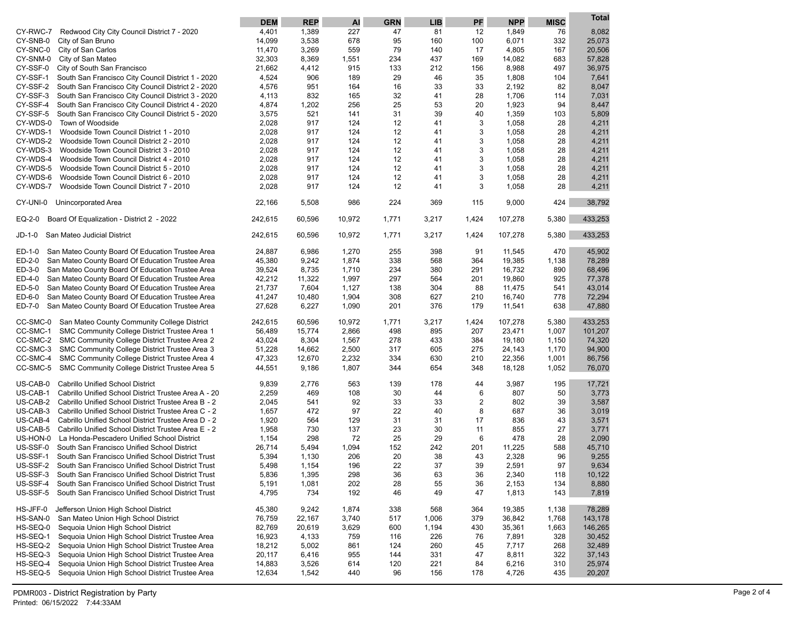|                                                                                                                  | <b>DEM</b>     | <b>REP</b>   | AI        | <b>GRN</b> | <b>LIB</b> | PF             | <b>NPP</b>   | <b>MISC</b> | <b>Total</b>    |
|------------------------------------------------------------------------------------------------------------------|----------------|--------------|-----------|------------|------------|----------------|--------------|-------------|-----------------|
| CY-RWC-7<br>Redwood City City Council District 7 - 2020                                                          | 4,401          | 1,389        | 227       | 47         | 81         | 12             | 1,849        | 76          | 8,082           |
| CY-SNB-0<br>City of San Bruno                                                                                    | 14,099         | 3,538        | 678       | 95         | 160        | 100            | 6,071        | 332         | 25,073          |
| CY-SNC-0<br>City of San Carlos                                                                                   | 11,470         | 3,269        | 559       | 79         | 140        | 17             | 4,805        | 167         | 20,506          |
| CY-SNM-0<br>City of San Mateo                                                                                    | 32,303         | 8,369        | 1,551     | 234        | 437        | 169            | 14,082       | 683         | 57,828          |
| CY-SSF-0<br>City of South San Francisco                                                                          | 21,662         | 4,412        | 915       | 133        | 212        | 156            | 8,988        | 497         | 36,975          |
| CY-SSF-1<br>South San Francisco City Council District 1 - 2020                                                   | 4,524          | 906          | 189       | 29         | 46         | 35             | 1,808        | 104         | 7,641           |
| CY-SSF-2<br>South San Francisco City Council District 2 - 2020                                                   | 4,576          | 951          | 164       | 16         | 33         | 33             | 2,192        | 82          | 8,047           |
| CY-SSF-3<br>South San Francisco City Council District 3 - 2020                                                   | 4,113          | 832          | 165       | 32         | 41         | 28             | 1,706        | 114         | 7,031           |
| CY-SSF-4<br>South San Francisco City Council District 4 - 2020                                                   | 4,874          | 1,202        | 256       | 25         | 53         | 20             | 1,923        | 94          | 8,447           |
| CY-SSF-5<br>South San Francisco City Council District 5 - 2020                                                   | 3,575          | 521          | 141       | 31         | 39         | 40             | 1,359        | 103         | 5,809           |
| CY-WDS-0<br>Town of Woodside                                                                                     | 2,028          | 917          | 124       | 12         | 41         | 3              | 1,058        | 28          | 4,211           |
| CY-WDS-1<br>Woodside Town Council District 1 - 2010                                                              | 2,028          | 917          | 124       | 12         | 41         | 3              | 1,058        | 28          | 4,211           |
| CY-WDS-2<br>Woodside Town Council District 2 - 2010                                                              | 2,028          | 917          | 124       | 12         | 41         | 3              | 1,058        | 28          | 4,211           |
| CY-WDS-3<br>Woodside Town Council District 3 - 2010                                                              | 2,028          | 917          | 124       | 12         | 41         | 3              | 1,058        | 28          | 4,211           |
| CY-WDS-4<br>Woodside Town Council District 4 - 2010                                                              | 2,028          | 917          | 124       | 12         | 41         | 3              | 1,058        | 28          | 4,211           |
| CY-WDS-5<br>Woodside Town Council District 5 - 2010                                                              | 2,028          | 917          | 124       | 12         | 41         | 3              | 1,058        | 28          | 4,211           |
| CY-WDS-6<br>Woodside Town Council District 6 - 2010                                                              | 2,028          | 917          | 124       | 12         | 41         | 3              | 1,058        | 28          | 4,211           |
| CY-WDS-7<br>Woodside Town Council District 7 - 2010                                                              | 2,028          | 917          | 124       | 12         | 41         | 3              | 1,058        | 28          | 4,211           |
| CY-UNI-0<br>Unincorporated Area                                                                                  | 22,166         | 5,508        | 986       | 224        | 369        | 115            | 9,000        | 424         | 38,792          |
| Board Of Equalization - District 2 - 2022<br>EQ-2-0                                                              | 242,615        | 60,596       | 10,972    | 1,771      | 3,217      | 1,424          | 107,278      | 5,380       | 433,253         |
| JD-1-0<br>San Mateo Judicial District                                                                            | 242,615        | 60,596       | 10,972    | 1,771      | 3,217      | 1,424          | 107,278      | 5,380       | 433,253         |
| ED-1-0<br>San Mateo County Board Of Education Trustee Area                                                       | 24,887         | 6,986        | 1,270     | 255        | 398        | 91             | 11,545       | 470         | 45,902          |
| ED-2-0<br>San Mateo County Board Of Education Trustee Area                                                       | 45,380         | 9,242        | 1,874     | 338        | 568        | 364            | 19,385       | 1,138       | 78,289          |
| San Mateo County Board Of Education Trustee Area<br>ED-3-0                                                       | 39,524         | 8,735        | 1,710     | 234        | 380        | 291            | 16,732       | 890         | 68,496          |
| ED-4-0<br>San Mateo County Board Of Education Trustee Area                                                       | 42,212         | 11,322       | 1,997     | 297        | 564        | 201            | 19,860       | 925         | 77,378          |
| ED-5-0<br>San Mateo County Board Of Education Trustee Area                                                       | 21,737         | 7,604        | 1,127     | 138        | 304        | 88             | 11,475       | 541         | 43,014          |
| ED-6-0<br>San Mateo County Board Of Education Trustee Area                                                       | 41,247         | 10,480       | 1,904     | 308        | 627        | 210            | 16,740       | 778         | 72,294          |
| San Mateo County Board Of Education Trustee Area<br>ED-7-0                                                       | 27,628         | 6,227        | 1,090     | 201        | 376        | 179            | 11,541       | 638         | 47,880          |
| CC-SMC-0<br>San Mateo County Community College District                                                          | 242,615        | 60,596       | 10,972    | 1,771      | 3,217      | 1,424          | 107,278      | 5,380       | 433,253         |
| SMC Community College District Trustee Area 1<br>CC-SMC-1                                                        | 56,489         | 15,774       | 2,866     | 498        | 895        | 207            | 23,471       | 1,007       | 101,207         |
| SMC Community College District Trustee Area 2<br>CC-SMC-2                                                        | 43,024         | 8,304        | 1,567     | 278        | 433        | 384            | 19,180       | 1,150       | 74,320          |
| SMC Community College District Trustee Area 3<br>CC-SMC-3                                                        | 51,228         | 14,662       | 2,500     | 317        | 605        | 275            | 24,143       | 1,170       | 94,900          |
| CC-SMC-4<br>SMC Community College District Trustee Area 4                                                        | 47,323         | 12,670       | 2,232     | 334        | 630        | 210            | 22,356       | 1,001       | 86,756          |
| CC-SMC-5<br>SMC Community College District Trustee Area 5                                                        | 44,551         | 9,186        | 1,807     | 344        | 654        | 348            | 18,128       | 1,052       | 76,070          |
|                                                                                                                  |                |              |           |            |            |                |              |             |                 |
| US-CAB-0<br>Cabrillo Unified School District<br>US-CAB-1<br>Cabrillo Unified School District Trustee Area A - 20 | 9,839<br>2,259 | 2,776<br>469 | 563       | 139<br>30  | 178<br>44  | 44<br>6        | 3,987<br>807 | 195<br>50   | 17,721<br>3,773 |
| US-CAB-2<br>Cabrillo Unified School District Trustee Area B - 2                                                  |                | 541          | 108<br>92 |            | 33         | $\overline{2}$ | 802          |             | 3,587           |
| US-CAB-3<br>Cabrillo Unified School District Trustee Area C - 2                                                  | 2,045<br>1,657 | 472          | 97        | 33<br>22   | 40         | 8              | 687          | 39<br>36    | 3,019           |
| US-CAB-4<br>Cabrillo Unified School District Trustee Area D - 2                                                  | 1,920          | 564          | 129       | 31         | 31         | 17             | 836          | 43          | 3,571           |
| US-CAB-5<br>Cabrillo Unified School District Trustee Area E - 2                                                  | 1,958          | 730          | 137       | 23         | 30         | 11             | 855          | 27          | 3,771           |
| US-HON-0<br>La Honda-Pescadero Unified School District                                                           | 1,154          | 298          | 72        | 25         | 29         | 6              | 478          | 28          | 2,090           |
| US-SSF-0<br>South San Francisco Unified School District                                                          | 26,714         | 5,494        | 1,094     | 152        | 242        | 201            | 11,225       | 588         | 45,710          |
| US-SSF-1<br>South San Francisco Unified School District Trust                                                    | 5,394          | 1,130        | 206       | 20         | 38         | 43             | 2,328        | 96          | 9,255           |
| US-SSF-2<br>South San Francisco Unified School District Trust                                                    | 5,498          | 1,154        | 196       | 22         | 37         | 39             | 2,591        | 97          | 9,634           |
| US-SSF-3<br>South San Francisco Unified School District Trust                                                    | 5,836          | 1,395        | 298       | 36         | 63         | 36             | 2,340        | 118         | 10,122          |
| US-SSF-4<br>South San Francisco Unified School District Trust                                                    | 5,191          | 1,081        | 202       | 28         | 55         | 36             | 2,153        | 134         | 8,880           |
| US-SSF-5<br>South San Francisco Unified School District Trust                                                    | 4,795          | 734          | 192       | 46         | 49         | 47             | 1,813        | 143         | 7,819           |
|                                                                                                                  |                |              |           |            |            |                |              |             |                 |
| HS-JFF-0<br>Jefferson Union High School District                                                                 | 45,380         | 9,242        | 1,874     | 338        | 568        | 364            | 19,385       | 1,138       | 78,289          |
| HS-SAN-0<br>San Mateo Union High School District                                                                 | 76,759         | 22,167       | 3,740     | 517        | 1,006      | 379            | 36,842       | 1,768       | 143,178         |
| HS-SEQ-0<br>Sequoia Union High School District                                                                   | 82,769         | 20,619       | 3,629     | 600        | 1,194      | 430            | 35,361       | 1,663       | 146,265         |
| HS-SEQ-1<br>Sequoia Union High School District Trustee Area                                                      | 16,923         | 4,133        | 759       | 116        | 226        | 76             | 7,891        | 328         | 30,452          |
| HS-SEQ-2<br>Seguoia Union High School District Trustee Area                                                      | 18,212         | 5,002        | 861       | 124        | 260        | 45             | 7,717        | 268         | 32,489          |
| HS-SEQ-3<br>Sequoia Union High School District Trustee Area                                                      | 20,117         | 6,416        | 955       | 144        | 331        | 47             | 8,811        | 322         | 37,143          |
| HS-SEQ-4<br>Seguoia Union High School District Trustee Area                                                      | 14,883         | 3,526        | 614       | 120        | 221        | 84             | 6,216        | 310         | 25,974          |
| HS-SEQ-5<br>Sequoia Union High School District Trustee Area                                                      | 12,634         | 1,542        | 440       | 96         | 156        | 178            | 4,726        | 435         | 20,207          |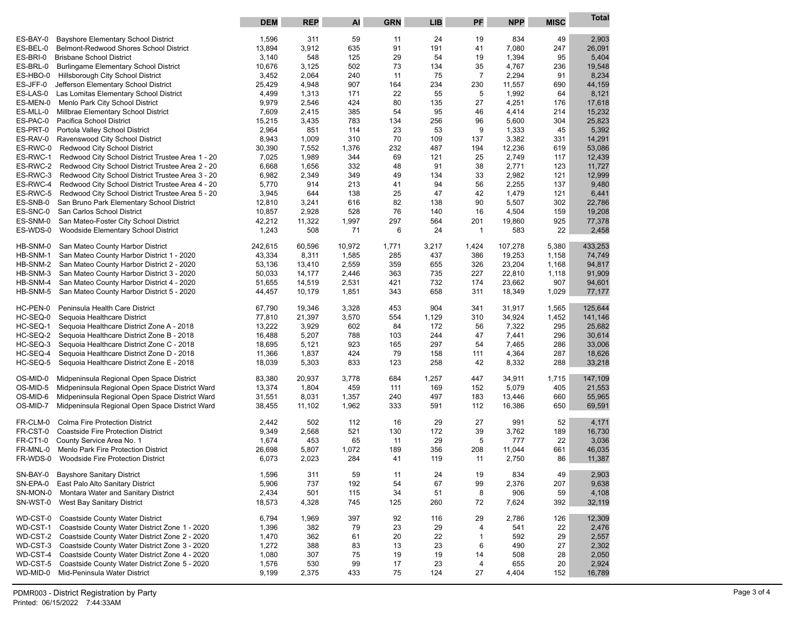|                      |                                                                                        | <b>DEM</b>       | <b>REP</b>     | Al         | <b>GRN</b> | <b>LIB</b> | PF             | <b>NPP</b>     | <b>MISC</b> | Total            |
|----------------------|----------------------------------------------------------------------------------------|------------------|----------------|------------|------------|------------|----------------|----------------|-------------|------------------|
| ES-BAY-0             | <b>Bayshore Elementary School District</b>                                             | 1,596            | 311            | 59         | 11         | 24         | 19             | 834            | 49          | 2,903            |
| ES-BEL-0             | Belmont-Redwood Shores School District                                                 | 13,894           | 3,912          | 635        | 91         | 191        | 41             | 7,080          | 247         | 26,091           |
| ES-BRI-0             | <b>Brisbane School District</b>                                                        | 3,140            | 548            | 125        | 29         | 54         | 19             | 1,394          | 95          | 5,404            |
| ES-BRL-0             | <b>Burlingame Elementary School District</b>                                           | 10,676           | 3,125          | 502        | 73         | 134        | 35             | 4,767          | 236         | 19,548           |
| ES-HBO-0             | Hillsborough City School District                                                      | 3,452            | 2,064          | 240        | 11         | 75         | $\overline{7}$ | 2,294          | 91          | 8,234            |
| ES-JFF-0             | Jefferson Elementary School District                                                   | 25,429           | 4,948          | 907        | 164        | 234        | 230            | 11,557         | 690         | 44,159           |
| ES-LAS-0             | Las Lomitas Elementary School District                                                 | 4,499            | 1,313          | 171        | 22         | 55         | 5              | 1,992          | 64          | 8,121            |
| ES-MEN-0             | Menlo Park City School District                                                        | 9,979            | 2,546          | 424        | 80         | 135        | 27             | 4,251          | 176         | 17,618           |
| ES-MLL-0             | Millbrae Elementary School District<br>Pacifica School District                        | 7,609            | 2,415          | 385        | 54         | 95         | 46             | 4,414          | 214<br>304  | 15,232           |
| ES-PAC-0<br>ES-PRT-0 | Portola Valley School District                                                         | 15,215<br>2,964  | 3,435<br>851   | 783<br>114 | 134<br>23  | 256<br>53  | 96<br>9        | 5,600<br>1,333 | 45          | 25,823<br>5,392  |
| ES-RAV-0             | Ravenswood City School District                                                        | 8,943            | 1,009          | 310        | 70         | 109        | 137            | 3,382          | 331         | 14,291           |
| ES-RWC-0             | Redwood City School District                                                           | 30,390           | 7,552          | 1,376      | 232        | 487        | 194            | 12,236         | 619         | 53,086           |
| ES-RWC-1             | Redwood City School District Trustee Area 1 - 20                                       | 7,025            | 1,989          | 344        | 69         | 121        | 25             | 2,749          | 117         | 12,439           |
| ES-RWC-2             | Redwood City School District Trustee Area 2 - 20                                       | 6,668            | 1,656          | 332        | 48         | 91         | 38             | 2,771          | 123         | 11,727           |
| ES-RWC-3             | Redwood City School District Trustee Area 3 - 20                                       | 6,982            | 2,349          | 349        | 49         | 134        | 33             | 2,982          | 121         | 12,999           |
| ES-RWC-4             | Redwood City School District Trustee Area 4 - 20                                       | 5,770            | 914            | 213        | 41         | 94         | 56             | 2,255          | 137         | 9,480            |
| ES-RWC-5             | Redwood City School District Trustee Area 5 - 20                                       | 3,945            | 644            | 138        | 25         | 47         | 42             | 1,479          | 121         | 6,441            |
| ES-SNB-0             | San Bruno Park Elementary School District                                              | 12,810           | 3,241          | 616        | 82         | 138        | 90             | 5,507          | 302         | 22,786           |
| ES-SNC-0             | San Carlos School District                                                             | 10,857           | 2,928          | 528        | 76         | 140        | 16             | 4,504          | 159         | 19,208           |
| ES-SNM-0             | San Mateo-Foster City School District                                                  | 42,212           | 11,322         | 1,997      | 297        | 564        | 201            | 19,860         | 925         | 77,378           |
| ES-WDS-0             | Woodside Elementary School District                                                    | 1,243            | 508            | 71         | 6          | 24         | 1              | 583            | 22          | 2,458            |
| HB-SNM-0             | San Mateo County Harbor District                                                       | 242,615          | 60,596         | 10,972     | 1,771      | 3,217      | 1,424          | 107,278        | 5,380       | 433,253          |
| HB-SNM-1             | San Mateo County Harbor District 1 - 2020                                              | 43,334           | 8,311          | 1,585      | 285        | 437        | 386            | 19,253         | 1,158       | 74,749           |
| HB-SNM-2             | San Mateo County Harbor District 2 - 2020                                              | 53,136           | 13,410         | 2,559      | 359        | 655        | 326            | 23,204         | 1,168       | 94,817           |
| HB-SNM-3             | San Mateo County Harbor District 3 - 2020                                              | 50,033           | 14,177         | 2,446      | 363        | 735        | 227            | 22,810         | 1,118       | 91,909           |
| HB-SNM-4             | San Mateo County Harbor District 4 - 2020                                              | 51,655           | 14,519         | 2,531      | 421        | 732        | 174            | 23,662         | 907         | 94,601           |
| HB-SNM-5             | San Mateo County Harbor District 5 - 2020                                              | 44,457           | 10,179         | 1,851      | 343        | 658        | 311            | 18,349         | 1,029       | 77,177           |
| HC-PEN-0             | Peninsula Health Care District                                                         | 67,790           | 19,346         | 3,328      | 453        | 904        | 341            | 31,917         | 1,565       | 125,644          |
| HC-SEQ-0             | Sequoia Healthcare District                                                            | 77,810           | 21,397         | 3,570      | 554        | 1,129      | 310            | 34,924         | 1,452       | 141,146          |
| HC-SEQ-1             | Sequoia Healthcare District Zone A - 2018                                              | 13,222           | 3,929          | 602        | 84         | 172        | 56             | 7,322          | 295         | 25,682           |
| HC-SEQ-2             | Sequoia Healthcare District Zone B - 2018                                              | 16,488           | 5,207          | 788        | 103        | 244        | 47             | 7,441          | 296         | 30,614           |
| HC-SEQ-3             | Sequoia Healthcare District Zone C - 2018                                              | 18,695           | 5,121          | 923        | 165        | 297        | 54             | 7,465          | 286         | 33,006           |
| HC-SEQ-4<br>HC-SEQ-5 | Sequoia Healthcare District Zone D - 2018<br>Sequoia Healthcare District Zone E - 2018 | 11,366<br>18,039 | 1,837<br>5,303 | 424<br>833 | 79<br>123  | 158<br>258 | 111            | 4,364<br>8,332 | 287<br>288  | 18,626<br>33,218 |
|                      |                                                                                        |                  |                |            |            |            | 42             |                |             |                  |
| OS-MID-0             | Midpeninsula Regional Open Space District                                              | 83,380           | 20,937         | 3,778      | 684        | 1,257      | 447            | 34,911         | 1,715       | 147,109          |
| OS-MID-5             | Midpeninsula Regional Open Space District Ward                                         | 13,374           | 1,804          | 459        | 111        | 169        | 152            | 5,079          | 405         | 21,553           |
| OS-MID-6             | Midpeninsula Regional Open Space District Ward                                         | 31,551           | 8,031          | 1,357      | 240        | 497        | 183            | 13,446         | 660         | 55,965           |
| OS-MID-7             | Midpeninsula Regional Open Space District Ward                                         | 38,455           | 11,102         | 1,962      | 333        | 591        | 112            | 16,386         | 650         | 69,591           |
| FR-CLM-0             | <b>Colma Fire Protection District</b>                                                  | 2,442            | 502            | 112        | 16         | 29         | 27             | 991            | 52          | 4,171            |
| FR-CST-0             | <b>Coastside Fire Protection District</b>                                              | 9,349            | 2,568          | 521        | 130        | 172        | 39             | 3,762          | 189         | 16,730           |
| FR-CT1-0             | County Service Area No. 1                                                              | 1,674            | 453            | 65         | 11         | 29         | 5              | 777            | 22          | 3,036            |
| FR-MNL-0             | Menlo Park Fire Protection District                                                    | 26,698           | 5,807          | 1,072      | 189        | 356        | 208            | 11,044         | 661         | 46,035           |
| FR-WDS-0             | <b>Woodside Fire Protection District</b>                                               | 6,073            | 2,023          | 284        | 41         | 119        | 11             | 2,750          | 86          | 11,387           |
| SN-BAY-0             | <b>Bayshore Sanitary District</b>                                                      | 1,596            | 311            | 59         | 11         | 24         | 19             | 834            | 49          | 2,903            |
| SN-EPA-0             | East Palo Alto Sanitary District                                                       | 5,906            | 737            | 192        | 54         | 67         | 99             | 2,376          | 207         | 9,638            |
| SN-MON-0             | Montara Water and Sanitary District                                                    | 2,434            | 501            | 115        | 34         | 51         | 8              | 906            | 59          | 4,108            |
| SN-WST-0             | West Bay Sanitary District                                                             | 18,573           | 4,328          | 745        | 125        | 260        | 72             | 7,624          | 392         | 32,119           |
| WD-CST-0             | <b>Coastside County Water District</b>                                                 | 6,794            | 1,969          | 397        | 92         | 116        | 29             | 2,786          | 126         | 12,309           |
| WD-CST-1             | Coastside County Water District Zone 1 - 2020                                          | 1,396            | 382            | 79         | 23         | 29         | 4              | 541            | 22          | 2,476            |
| WD-CST-2             | Coastside County Water District Zone 2 - 2020                                          | 1,470            | 362            | 61         | 20         | 22         | $\mathbf{1}$   | 592            | 29          | 2,557            |
| WD-CST-3             | Coastside County Water District Zone 3 - 2020                                          | 1,272            | 388            | 83         | 13         | 23         | 6              | 490            | 27          | 2,302            |
| WD-CST-4             | Coastside County Water District Zone 4 - 2020                                          | 1,080            | 307            | 75         | 19         | 19         | 14             | 508            | 28          | 2,050            |
| WD-CST-5             | Coastside County Water District Zone 5 - 2020                                          | 1,576            | 530            | 99         | 17         | 23         | 4              | 655            | 20          | 2,924            |
| WD-MID-0             | Mid-Peninsula Water District                                                           | 9,199            | 2,375          | 433        | 75         | 124        | 27             | 4,404          | 152         | 16,789           |